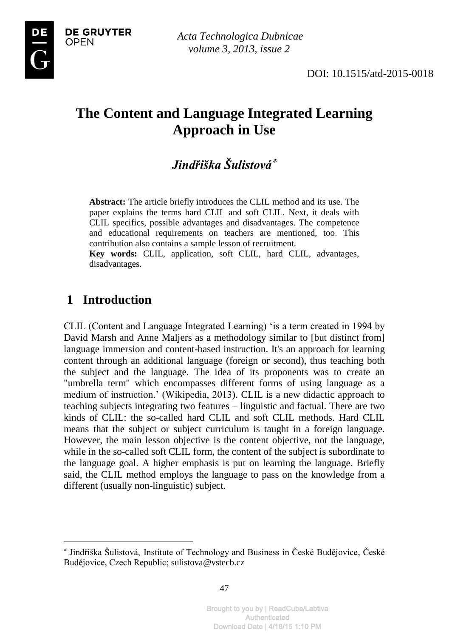



# **The Content and Language Integrated Learning Approach in Use**

# *Jindřiška Šulistová*

**Abstract:** The article briefly introduces the CLIL method and its use. The paper explains the terms hard CLIL and soft CLIL. Next, it deals with CLIL specifics, possible advantages and disadvantages. The competence and educational requirements on teachers are mentioned, too. This contribution also contains a sample lesson of recruitment.

**Key words:** CLIL, application, soft CLIL, hard CLIL, advantages, disadvantages.

### **1 Introduction**

 $\overline{a}$ 

CLIL (Content and Language Integrated Learning) 'is a term created in 1994 by David Marsh and Anne Maljers as a methodology similar to [but distinct from] language immersion and content-based instruction. It's an approach for learning content through an additional language (foreign or second), thus teaching both the subject and the language. The idea of its proponents was to create an "umbrella term" which encompasses different forms of using language as a medium of instruction.' (Wikipedia, 2013). CLIL is a new didactic approach to teaching subjects integrating two features – linguistic and factual. There are two kinds of CLIL: the so-called hard CLIL and soft CLIL methods. Hard CLIL means that the subject or subject curriculum is taught in a foreign language. However, the main lesson objective is the content objective, not the language, while in the so-called soft CLIL form, the content of the subject is subordinate to the language goal. A higher emphasis is put on learning the language. Briefly said, the CLIL method employs the language to pass on the knowledge from a different (usually non-linguistic) subject.

Jindřiška Šulistová, Institute of Technology and Business in České Budějovice, České Budějovice, Czech Republic; sulistova@vstecb.cz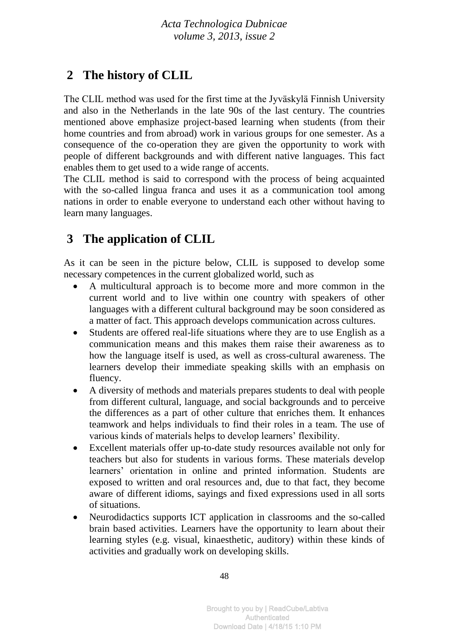## **2 The history of CLIL**

The CLIL method was used for the first time at the Jyväskylä Finnish University and also in the Netherlands in the late 90s of the last century. The countries mentioned above emphasize project-based learning when students (from their home countries and from abroad) work in various groups for one semester. As a consequence of the co-operation they are given the opportunity to work with people of different backgrounds and with different native languages. This fact enables them to get used to a wide range of accents.

The CLIL method is said to correspond with the process of being acquainted with the so-called lingua franca and uses it as a communication tool among nations in order to enable everyone to understand each other without having to learn many languages.

# **3 The application of CLIL**

As it can be seen in the picture below, CLIL is supposed to develop some necessary competences in the current globalized world, such as

- A multicultural approach is to become more and more common in the current world and to live within one country with speakers of other languages with a different cultural background may be soon considered as a matter of fact. This approach develops communication across cultures.
- Students are offered real-life situations where they are to use English as a communication means and this makes them raise their awareness as to how the language itself is used, as well as cross-cultural awareness. The learners develop their immediate speaking skills with an emphasis on fluency.
- A diversity of methods and materials prepares students to deal with people from different cultural, language, and social backgrounds and to perceive the differences as a part of other culture that enriches them. It enhances teamwork and helps individuals to find their roles in a team. The use of various kinds of materials helps to develop learners' flexibility.
- Excellent materials offer up-to-date study resources available not only for teachers but also for students in various forms. These materials develop learners' orientation in online and printed information. Students are exposed to written and oral resources and, due to that fact, they become aware of different idioms, sayings and fixed expressions used in all sorts of situations.
- Neurodidactics supports ICT application in classrooms and the so-called brain based activities. Learners have the opportunity to learn about their learning styles (e.g. visual, kinaesthetic, auditory) within these kinds of activities and gradually work on developing skills.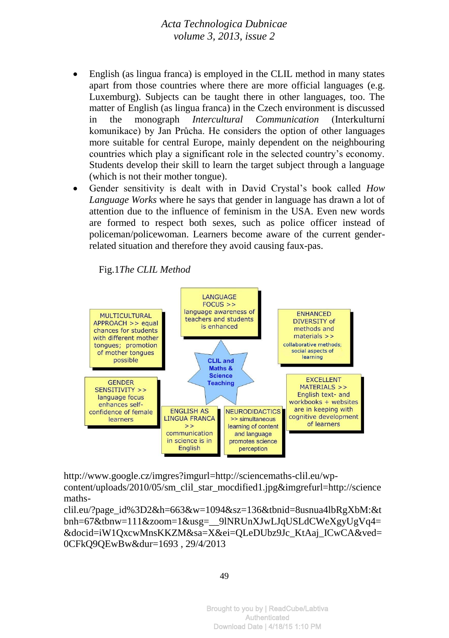- English (as lingua franca) is employed in the CLIL method in many states apart from those countries where there are more official languages (e.g. Luxemburg). Subjects can be taught there in other languages, too. The matter of English (as lingua franca) in the Czech environment is discussed in the monograph *Intercultural Communication* (Interkulturní komunikace) by Jan Průcha. He considers the option of other languages more suitable for central Europe, mainly dependent on the neighbouring countries which play a significant role in the selected country's economy. Students develop their skill to learn the target subject through a language (which is not their mother tongue).
- Gender sensitivity is dealt with in David Crystal's book called *How Language Works* where he says that gender in language has drawn a lot of attention due to the influence of feminism in the USA. Even new words are formed to respect both sexes, such as police officer instead of policeman/policewoman. Learners become aware of the current genderrelated situation and therefore they avoid causing faux-pas.

Fig.1*The CLIL Method*



[http://www.google.cz/imgres?imgurl=http://sciencemaths-clil.eu/wp](http://www.google.cz/imgres?imgurl=http://sciencemaths-clil.eu/wp-content/uploads/2010/05/sm_clil_star_mocdified1.jpg&imgrefurl=http://sciencemaths-clil.eu/?page_id%3D2&h=663&w=1094&sz=136&tbnid=8usnua4lbRgXbM:&tbnh=67&tbnw=111&zoom=1&usg=__9lNRUnXJwLJqUSLdCWeXgyUgVq4=&docid=iW1QxcwMnsKKZM&sa=X&ei=QLeDUbz9Jc_KtAaj_ICwCA&ved=0CFkQ9QEwBw&dur=1693)[content/uploads/2010/05/sm\\_clil\\_star\\_mocdified1.jpg&imgrefurl=http://science](http://www.google.cz/imgres?imgurl=http://sciencemaths-clil.eu/wp-content/uploads/2010/05/sm_clil_star_mocdified1.jpg&imgrefurl=http://sciencemaths-clil.eu/?page_id%3D2&h=663&w=1094&sz=136&tbnid=8usnua4lbRgXbM:&tbnh=67&tbnw=111&zoom=1&usg=__9lNRUnXJwLJqUSLdCWeXgyUgVq4=&docid=iW1QxcwMnsKKZM&sa=X&ei=QLeDUbz9Jc_KtAaj_ICwCA&ved=0CFkQ9QEwBw&dur=1693) [maths-](http://www.google.cz/imgres?imgurl=http://sciencemaths-clil.eu/wp-content/uploads/2010/05/sm_clil_star_mocdified1.jpg&imgrefurl=http://sciencemaths-clil.eu/?page_id%3D2&h=663&w=1094&sz=136&tbnid=8usnua4lbRgXbM:&tbnh=67&tbnw=111&zoom=1&usg=__9lNRUnXJwLJqUSLdCWeXgyUgVq4=&docid=iW1QxcwMnsKKZM&sa=X&ei=QLeDUbz9Jc_KtAaj_ICwCA&ved=0CFkQ9QEwBw&dur=1693)

[clil.eu/?page\\_id%3D2&h=663&w=1094&sz=136&tbnid=8usnua4lbRgXbM:&t](http://www.google.cz/imgres?imgurl=http://sciencemaths-clil.eu/wp-content/uploads/2010/05/sm_clil_star_mocdified1.jpg&imgrefurl=http://sciencemaths-clil.eu/?page_id%3D2&h=663&w=1094&sz=136&tbnid=8usnua4lbRgXbM:&tbnh=67&tbnw=111&zoom=1&usg=__9lNRUnXJwLJqUSLdCWeXgyUgVq4=&docid=iW1QxcwMnsKKZM&sa=X&ei=QLeDUbz9Jc_KtAaj_ICwCA&ved=0CFkQ9QEwBw&dur=1693) [bnh=67&tbnw=111&zoom=1&usg=\\_\\_9lNRUnXJwLJqUSLdCWeXgyUgVq4=](http://www.google.cz/imgres?imgurl=http://sciencemaths-clil.eu/wp-content/uploads/2010/05/sm_clil_star_mocdified1.jpg&imgrefurl=http://sciencemaths-clil.eu/?page_id%3D2&h=663&w=1094&sz=136&tbnid=8usnua4lbRgXbM:&tbnh=67&tbnw=111&zoom=1&usg=__9lNRUnXJwLJqUSLdCWeXgyUgVq4=&docid=iW1QxcwMnsKKZM&sa=X&ei=QLeDUbz9Jc_KtAaj_ICwCA&ved=0CFkQ9QEwBw&dur=1693) [&docid=iW1QxcwMnsKKZM&sa=X&ei=QLeDUbz9Jc\\_KtAaj\\_ICwCA&ved=](http://www.google.cz/imgres?imgurl=http://sciencemaths-clil.eu/wp-content/uploads/2010/05/sm_clil_star_mocdified1.jpg&imgrefurl=http://sciencemaths-clil.eu/?page_id%3D2&h=663&w=1094&sz=136&tbnid=8usnua4lbRgXbM:&tbnh=67&tbnw=111&zoom=1&usg=__9lNRUnXJwLJqUSLdCWeXgyUgVq4=&docid=iW1QxcwMnsKKZM&sa=X&ei=QLeDUbz9Jc_KtAaj_ICwCA&ved=0CFkQ9QEwBw&dur=1693) [0CFkQ9QEwBw&dur=1693](http://www.google.cz/imgres?imgurl=http://sciencemaths-clil.eu/wp-content/uploads/2010/05/sm_clil_star_mocdified1.jpg&imgrefurl=http://sciencemaths-clil.eu/?page_id%3D2&h=663&w=1094&sz=136&tbnid=8usnua4lbRgXbM:&tbnh=67&tbnw=111&zoom=1&usg=__9lNRUnXJwLJqUSLdCWeXgyUgVq4=&docid=iW1QxcwMnsKKZM&sa=X&ei=QLeDUbz9Jc_KtAaj_ICwCA&ved=0CFkQ9QEwBw&dur=1693) , 29/4/2013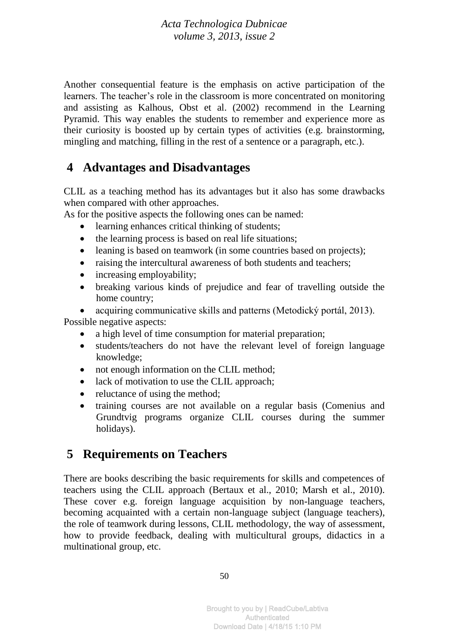Another consequential feature is the emphasis on active participation of the learners. The teacher's role in the classroom is more concentrated on monitoring and assisting as Kalhous, Obst et al. (2002) recommend in the Learning Pyramid. This way enables the students to remember and experience more as their curiosity is boosted up by certain types of activities (e.g. brainstorming, mingling and matching, filling in the rest of a sentence or a paragraph, etc.).

### **4 Advantages and Disadvantages**

CLIL as a teaching method has its advantages but it also has some drawbacks when compared with other approaches.

As for the positive aspects the following ones can be named:

- learning enhances critical thinking of students;
- the learning process is based on real life situations;
- leaning is based on teamwork (in some countries based on projects);
- raising the intercultural awareness of both students and teachers;
- increasing employability;
- breaking various kinds of prejudice and fear of travelling outside the home country;

 acquiring communicative skills and patterns (Metodický portál, 2013). Possible negative aspects:

- a high level of time consumption for material preparation;
- students/teachers do not have the relevant level of foreign language knowledge;
- not enough information on the CLIL method;
- lack of motivation to use the CLIL approach;
- reluctance of using the method;
- training courses are not available on a regular basis (Comenius and Grundtvig programs organize CLIL courses during the summer holidays).

## **5 Requirements on Teachers**

There are books describing the basic requirements for skills and competences of teachers using the CLIL approach (Bertaux et al., 2010; Marsh et al., 2010). These cover e.g. foreign language acquisition by non-language teachers, becoming acquainted with a certain non-language subject (language teachers), the role of teamwork during lessons, CLIL methodology, the way of assessment, how to provide feedback, dealing with multicultural groups, didactics in a multinational group, etc.

50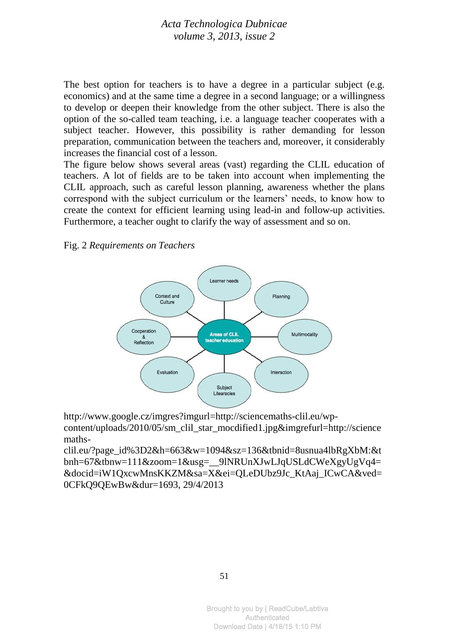The best option for teachers is to have a degree in a particular subject (e.g. economics) and at the same time a degree in a second language; or a willingness to develop or deepen their knowledge from the other subject. There is also the option of the so-called team teaching, i.e. a language teacher cooperates with a subject teacher. However, this possibility is rather demanding for lesson preparation, communication between the teachers and, moreover, it considerably increases the financial cost of a lesson.

The figure below shows several areas (vast) regarding the CLIL education of teachers. A lot of fields are to be taken into account when implementing the CLIL approach, such as careful lesson planning, awareness whether the plans correspond with the subject curriculum or the learners' needs, to know how to create the context for efficient learning using lead-in and follow-up activities. Furthermore, a teacher ought to clarify the way of assessment and so on.

Fig. 2 *Requirements on Teachers*



[http://www.google.cz/imgres?imgurl=http://sciencemaths-clil.eu/wp](http://www.google.cz/imgres?imgurl=http://sciencemaths-clil.eu/wp-content/uploads/2010/05/sm_clil_star_mocdified1.jpg&imgrefurl=http://sciencemaths-clil.eu/?page_id%3D2&h=663&w=1094&sz=136&tbnid=8usnua4lbRgXbM:&tbnh=67&tbnw=111&zoom=1&usg=__9lNRUnXJwLJqUSLdCWeXgyUgVq4=&docid=iW1QxcwMnsKKZM&sa=X&ei=QLeDUbz9Jc_KtAaj_ICwCA&ved=0CFkQ9QEwBw&dur=1693)[content/uploads/2010/05/sm\\_clil\\_star\\_mocdified1.jpg&imgrefurl=http://science](http://www.google.cz/imgres?imgurl=http://sciencemaths-clil.eu/wp-content/uploads/2010/05/sm_clil_star_mocdified1.jpg&imgrefurl=http://sciencemaths-clil.eu/?page_id%3D2&h=663&w=1094&sz=136&tbnid=8usnua4lbRgXbM:&tbnh=67&tbnw=111&zoom=1&usg=__9lNRUnXJwLJqUSLdCWeXgyUgVq4=&docid=iW1QxcwMnsKKZM&sa=X&ei=QLeDUbz9Jc_KtAaj_ICwCA&ved=0CFkQ9QEwBw&dur=1693) [maths-](http://www.google.cz/imgres?imgurl=http://sciencemaths-clil.eu/wp-content/uploads/2010/05/sm_clil_star_mocdified1.jpg&imgrefurl=http://sciencemaths-clil.eu/?page_id%3D2&h=663&w=1094&sz=136&tbnid=8usnua4lbRgXbM:&tbnh=67&tbnw=111&zoom=1&usg=__9lNRUnXJwLJqUSLdCWeXgyUgVq4=&docid=iW1QxcwMnsKKZM&sa=X&ei=QLeDUbz9Jc_KtAaj_ICwCA&ved=0CFkQ9QEwBw&dur=1693)

[clil.eu/?page\\_id%3D2&h=663&w=1094&sz=136&tbnid=8usnua4lbRgXbM:&t](http://www.google.cz/imgres?imgurl=http://sciencemaths-clil.eu/wp-content/uploads/2010/05/sm_clil_star_mocdified1.jpg&imgrefurl=http://sciencemaths-clil.eu/?page_id%3D2&h=663&w=1094&sz=136&tbnid=8usnua4lbRgXbM:&tbnh=67&tbnw=111&zoom=1&usg=__9lNRUnXJwLJqUSLdCWeXgyUgVq4=&docid=iW1QxcwMnsKKZM&sa=X&ei=QLeDUbz9Jc_KtAaj_ICwCA&ved=0CFkQ9QEwBw&dur=1693) [bnh=67&tbnw=111&zoom=1&usg=\\_\\_9lNRUnXJwLJqUSLdCWeXgyUgVq4=](http://www.google.cz/imgres?imgurl=http://sciencemaths-clil.eu/wp-content/uploads/2010/05/sm_clil_star_mocdified1.jpg&imgrefurl=http://sciencemaths-clil.eu/?page_id%3D2&h=663&w=1094&sz=136&tbnid=8usnua4lbRgXbM:&tbnh=67&tbnw=111&zoom=1&usg=__9lNRUnXJwLJqUSLdCWeXgyUgVq4=&docid=iW1QxcwMnsKKZM&sa=X&ei=QLeDUbz9Jc_KtAaj_ICwCA&ved=0CFkQ9QEwBw&dur=1693) [&docid=iW1QxcwMnsKKZM&sa=X&ei=QLeDUbz9Jc\\_KtAaj\\_ICwCA&ved=](http://www.google.cz/imgres?imgurl=http://sciencemaths-clil.eu/wp-content/uploads/2010/05/sm_clil_star_mocdified1.jpg&imgrefurl=http://sciencemaths-clil.eu/?page_id%3D2&h=663&w=1094&sz=136&tbnid=8usnua4lbRgXbM:&tbnh=67&tbnw=111&zoom=1&usg=__9lNRUnXJwLJqUSLdCWeXgyUgVq4=&docid=iW1QxcwMnsKKZM&sa=X&ei=QLeDUbz9Jc_KtAaj_ICwCA&ved=0CFkQ9QEwBw&dur=1693) [0CFkQ9QEwBw&dur=1693,](http://www.google.cz/imgres?imgurl=http://sciencemaths-clil.eu/wp-content/uploads/2010/05/sm_clil_star_mocdified1.jpg&imgrefurl=http://sciencemaths-clil.eu/?page_id%3D2&h=663&w=1094&sz=136&tbnid=8usnua4lbRgXbM:&tbnh=67&tbnw=111&zoom=1&usg=__9lNRUnXJwLJqUSLdCWeXgyUgVq4=&docid=iW1QxcwMnsKKZM&sa=X&ei=QLeDUbz9Jc_KtAaj_ICwCA&ved=0CFkQ9QEwBw&dur=1693) 29/4/2013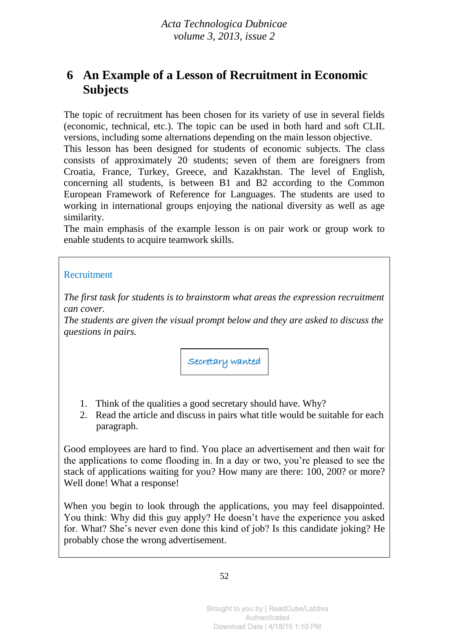## **6 An Example of a Lesson of Recruitment in Economic Subjects**

The topic of recruitment has been chosen for its variety of use in several fields (economic, technical, etc.). The topic can be used in both hard and soft CLIL versions, including some alternations depending on the main lesson objective.

This lesson has been designed for students of economic subjects. The class consists of approximately 20 students; seven of them are foreigners from Croatia, France, Turkey, Greece, and Kazakhstan. The level of English, concerning all students, is between B1 and B2 according to the Common European Framework of Reference for Languages. The students are used to working in international groups enjoying the national diversity as well as age similarity.

The main emphasis of the example lesson is on pair work or group work to enable students to acquire teamwork skills.

#### Recruitment

*The first task for students is to brainstorm what areas the expression recruitment can cover.*

*The students are given the visual prompt below and they are asked to discuss the questions in pairs.*

Secretary wanted

- 1. Think of the qualities a good secretary should have. Why?
- 2. Read the article and discuss in pairs what title would be suitable for each paragraph.

Good employees are hard to find. You place an advertisement and then wait for the applications to come flooding in. In a day or two, you're pleased to see the stack of applications waiting for you? How many are there: 100, 200? or more? Well done! What a response!

When you begin to look through the applications, you may feel disappointed. You think: Why did this guy apply? He doesn't have the experience you asked for. What? She's never even done this kind of job? Is this candidate joking? He probably chose the wrong advertisement.

52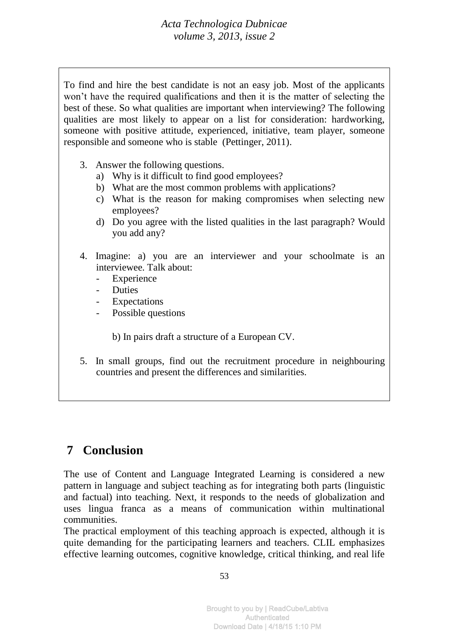To find and hire the best candidate is not an easy job. Most of the applicants won't have the required qualifications and then it is the matter of selecting the best of these. So what qualities are important when interviewing? The following qualities are most likely to appear on a list for consideration: hardworking, someone with positive attitude, experienced, initiative, team player, someone responsible and someone who is stable (Pettinger, 2011).

- 3. Answer the following questions.
	- a) Why is it difficult to find good employees?
	- b) What are the most common problems with applications?
	- c) What is the reason for making compromises when selecting new employees?
	- d) Do you agree with the listed qualities in the last paragraph? Would you add any?
- 4. Imagine: a) you are an interviewer and your schoolmate is an interviewee. Talk about:
	- Experience
	- **Duties**
	- Expectations
	- Possible questions

b) In pairs draft a structure of a European CV.

5. In small groups, find out the recruitment procedure in neighbouring countries and present the differences and similarities.

## **7 Conclusion**

The use of Content and Language Integrated Learning is considered a new pattern in language and subject teaching as for integrating both parts (linguistic and factual) into teaching. Next, it responds to the needs of globalization and uses lingua franca as a means of communication within multinational communities.

The practical employment of this teaching approach is expected, although it is quite demanding for the participating learners and teachers. CLIL emphasizes effective learning outcomes, cognitive knowledge, critical thinking, and real life